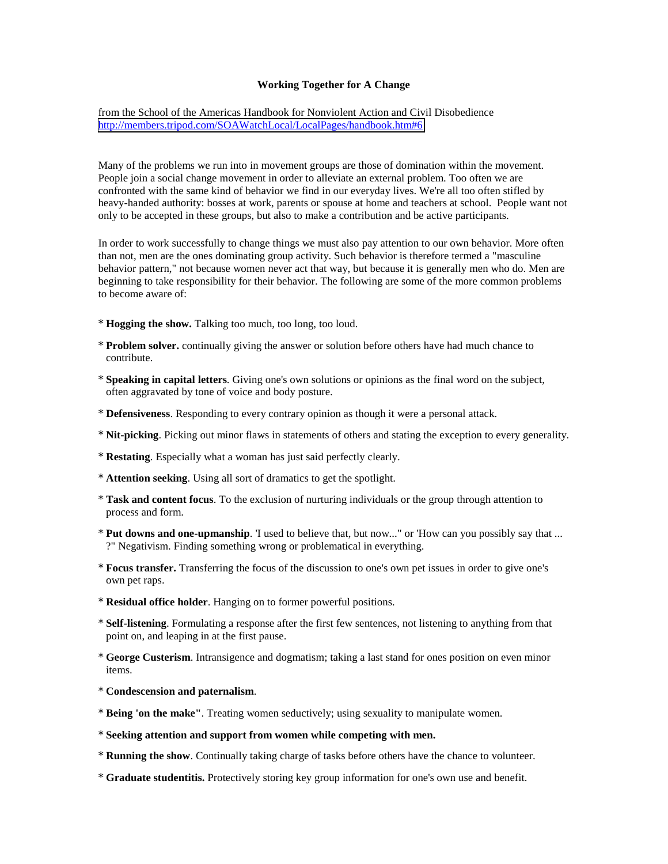## **Working Together for A Change**

from the School of the Americas Handbook for Nonviolent Action and Civil Disobedience <http://members.tripod.com/SOAWatchLocal/LocalPages/handbook.htm#6>

Many of the problems we run into in movement groups are those of domination within the movement. People join a social change movement in order to alleviate an external problem. Too often we are confronted with the same kind of behavior we find in our everyday lives. We're all too often stifled by heavy-handed authority: bosses at work, parents or spouse at home and teachers at school. People want not only to be accepted in these groups, but also to make a contribution and be active participants.

In order to work successfully to change things we must also pay attention to our own behavior. More often than not, men are the ones dominating group activity. Such behavior is therefore termed a "masculine behavior pattern," not because women never act that way, but because it is generally men who do. Men are beginning to take responsibility for their behavior. The following are some of the more common problems to become aware of:

- \* **Hogging the show.** Talking too much, too long, too loud.
- \* **Problem solver.** continually giving the answer or solution before others have had much chance to contribute.
- \* **Speaking in capital letters**. Giving one's own solutions or opinions as the final word on the subject, often aggravated by tone of voice and body posture.
- \* **Defensiveness**. Responding to every contrary opinion as though it were a personal attack.
- \* **Nit-picking**. Picking out minor flaws in statements of others and stating the exception to every generality.
- \* **Restating**. Especially what a woman has just said perfectly clearly.
- \* **Attention seeking**. Using all sort of dramatics to get the spotlight.
- \* **Task and content focus**. To the exclusion of nurturing individuals or the group through attention to process and form.
- \* **Put downs and one-upmanship**. 'I used to believe that, but now..." or 'How can you possibly say that ... ?" Negativism. Finding something wrong or problematical in everything.
- \* **Focus transfer.** Transferring the focus of the discussion to one's own pet issues in order to give one's own pet raps.
- \* **Residual office holder**. Hanging on to former powerful positions.
- \* **Self-listening**. Formulating a response after the first few sentences, not listening to anything from that point on, and leaping in at the first pause.
- \* **George Custerism**. Intransigence and dogmatism; taking a last stand for ones position on even minor items.
- \* **Condescension and paternalism**.
- \* **Being 'on the make"**. Treating women seductively; using sexuality to manipulate women.
- \* **Seeking attention and support from women while competing with men.**
- \* **Running the show**. Continually taking charge of tasks before others have the chance to volunteer.
- \* **Graduate studentitis.** Protectively storing key group information for one's own use and benefit.